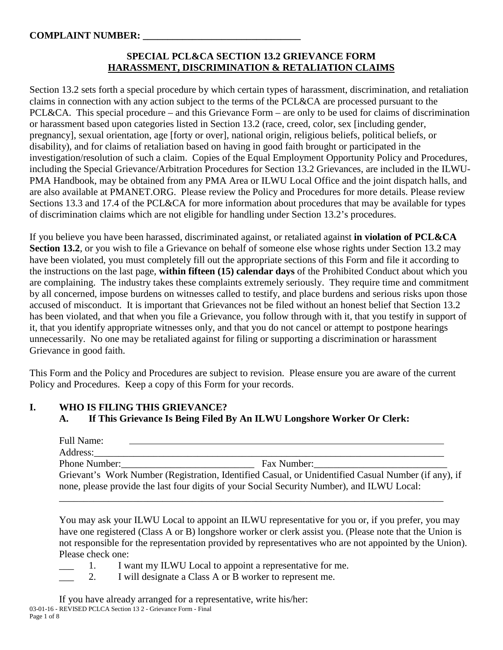# **SPECIAL PCL&CA SECTION 13.2 GRIEVANCE FORM HARASSMENT, DISCRIMINATION & RETALIATION CLAIMS**

Section 13.2 sets forth a special procedure by which certain types of harassment, discrimination, and retaliation claims in connection with any action subject to the terms of the PCL&CA are processed pursuant to the PCL&CA. This special procedure – and this Grievance Form – are only to be used for claims of discrimination or harassment based upon categories listed in Section 13.2 (race, creed, color, sex [including gender, pregnancy], sexual orientation, age [forty or over], national origin, religious beliefs, political beliefs, or disability), and for claims of retaliation based on having in good faith brought or participated in the investigation/resolution of such a claim. Copies of the Equal Employment Opportunity Policy and Procedures, including the Special Grievance/Arbitration Procedures for Section 13.2 Grievances, are included in the ILWU-PMA Handbook, may be obtained from any PMA Area or ILWU Local Office and the joint dispatch halls, and are also available at PMANET.ORG. Please review the Policy and Procedures for more details. Please review Sections 13.3 and 17.4 of the PCL&CA for more information about procedures that may be available for types of discrimination claims which are not eligible for handling under Section 13.2's procedures.

If you believe you have been harassed, discriminated against, or retaliated against **in violation of PCL&CA Section 13.2**, or you wish to file a Grievance on behalf of someone else whose rights under Section 13.2 may have been violated, you must completely fill out the appropriate sections of this Form and file it according to the instructions on the last page, **within fifteen (15) calendar days** of the Prohibited Conduct about which you are complaining. The industry takes these complaints extremely seriously. They require time and commitment by all concerned, impose burdens on witnesses called to testify, and place burdens and serious risks upon those accused of misconduct. It is important that Grievances not be filed without an honest belief that Section 13.2 has been violated, and that when you file a Grievance, you follow through with it, that you testify in support of it, that you identify appropriate witnesses only, and that you do not cancel or attempt to postpone hearings unnecessarily. No one may be retaliated against for filing or supporting a discrimination or harassment Grievance in good faith.

This Form and the Policy and Procedures are subject to revision. Please ensure you are aware of the current Policy and Procedures. Keep a copy of this Form for your records.

# **I. WHO IS FILING THIS GRIEVANCE?**

**A. If This Grievance Is Being Filed By An ILWU Longshore Worker Or Clerk:**

| Full Name:<br>Address: |                                                                                                     |
|------------------------|-----------------------------------------------------------------------------------------------------|
| Phone Number:          | Fax Number:                                                                                         |
|                        | Grievant's Work Number (Registration, Identified Casual, or Unidentified Casual Number (if any), if |
|                        | none, please provide the last four digits of your Social Security Number), and ILWU Local:          |

\_\_\_\_\_\_\_\_\_\_\_\_\_\_\_\_\_\_\_\_\_\_\_\_\_\_\_\_\_\_\_\_\_\_\_\_\_\_\_\_\_\_\_\_\_\_\_\_\_\_\_\_\_\_\_\_\_\_\_\_\_\_\_\_\_\_\_\_\_\_\_\_\_\_\_\_\_\_

You may ask your ILWU Local to appoint an ILWU representative for you or, if you prefer, you may have one registered (Class A or B) longshore worker or clerk assist you. (Please note that the Union is not responsible for the representation provided by representatives who are not appointed by the Union). Please check one:

- 1. I want my ILWU Local to appoint a representative for me.
- 2. I will designate a Class A or B worker to represent me.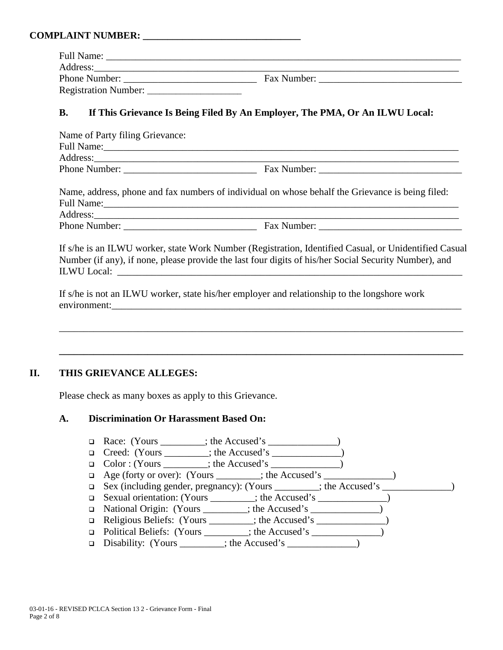| <b>Full Name:</b>    |             |  |
|----------------------|-------------|--|
| Address:             |             |  |
| Phone Number:        | Fax Number: |  |
| Registration Number: |             |  |

### **B. If This Grievance Is Being Filed By An Employer, The PMA, Or An ILWU Local:**

| Name of Party filing Grievance:                                                                                                     |             |
|-------------------------------------------------------------------------------------------------------------------------------------|-------------|
| Full Name:<br><u> 1989 - Johann Stoff, deutscher Stoff, der Stoff, der Stoff, der Stoff, der Stoff, der Stoff, der Stoff, der S</u> |             |
|                                                                                                                                     |             |
| <b>Phone Number:</b>                                                                                                                | Fax Number: |
|                                                                                                                                     |             |

|                   | Name, address, phone and fax numbers of individual on whose behalf the Grievance is being filed: |
|-------------------|--------------------------------------------------------------------------------------------------|
| <b>Full Name:</b> |                                                                                                  |
| Address:          |                                                                                                  |
| Phone Number:     | Fax Number:                                                                                      |

If s/he is an ILWU worker, state Work Number (Registration, Identified Casual, or Unidentified Casual Number (if any), if none, please provide the last four digits of his/her Social Security Number), and ILWU Local: \_\_\_\_\_\_\_\_\_\_\_\_\_\_\_\_\_\_\_\_\_\_\_\_\_\_\_\_\_\_\_\_\_\_\_\_\_\_\_\_\_\_\_\_\_\_\_\_\_\_\_\_\_\_\_\_\_\_\_\_\_\_\_\_\_\_\_\_\_\_

\_\_\_\_\_\_\_\_\_\_\_\_\_\_\_\_\_\_\_\_\_\_\_\_\_\_\_\_\_\_\_\_\_\_\_\_\_\_\_\_\_\_\_\_\_\_\_\_\_\_\_\_\_\_\_\_\_\_\_\_\_\_\_\_\_\_\_\_\_\_\_\_\_\_\_\_\_\_\_\_\_\_

If s/he is not an ILWU worker, state his/her employer and relationship to the longshore work environment:\_\_\_\_\_\_\_\_\_\_\_\_\_\_\_\_\_\_\_\_\_\_\_\_\_\_\_\_\_\_\_\_\_\_\_\_\_\_\_\_\_\_\_\_\_\_\_\_\_\_\_\_\_\_\_\_\_\_\_\_\_\_\_\_\_\_\_\_\_\_\_

**\_\_\_\_\_\_\_\_\_\_\_\_\_\_\_\_\_\_\_\_\_\_\_\_\_\_\_\_\_\_\_\_\_\_\_\_\_\_\_\_\_\_\_\_\_\_\_\_\_\_\_\_\_\_\_\_\_\_\_\_\_\_\_\_\_\_\_\_\_\_\_\_\_\_\_\_\_\_\_\_\_\_**

### **II. THIS GRIEVANCE ALLEGES:**

Please check as many boxes as apply to this Grievance.

### **A. Discrimination Or Harassment Based On:**

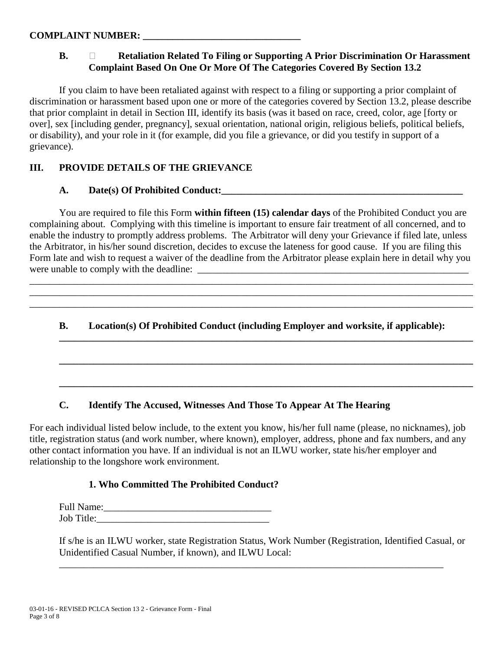# **B. Retaliation Related To Filing or Supporting A Prior Discrimination Or Harassment Complaint Based On One Or More Of The Categories Covered By Section 13.2**

If you claim to have been retaliated against with respect to a filing or supporting a prior complaint of discrimination or harassment based upon one or more of the categories covered by Section 13.2, please describe that prior complaint in detail in Section III, identify its basis (was it based on race, creed, color, age [forty or over], sex [including gender, pregnancy], sexual orientation, national origin, religious beliefs, political beliefs, or disability), and your role in it (for example, did you file a grievance, or did you testify in support of a grievance).

## **III. PROVIDE DETAILS OF THE GRIEVANCE**

# **A. Date(s) Of Prohibited Conduct:\_\_\_\_\_\_\_\_\_\_\_\_\_\_\_\_\_\_\_\_\_\_\_\_\_\_\_\_\_\_\_\_\_\_\_\_\_\_\_\_\_\_\_\_\_\_\_\_\_**

You are required to file this Form **within fifteen (15) calendar days** of the Prohibited Conduct you are complaining about. Complying with this timeline is important to ensure fair treatment of all concerned, and to enable the industry to promptly address problems. The Arbitrator will deny your Grievance if filed late, unless the Arbitrator, in his/her sound discretion, decides to excuse the lateness for good cause. If you are filing this Form late and wish to request a waiver of the deadline from the Arbitrator please explain here in detail why you were unable to comply with the deadline:

\_\_\_\_\_\_\_\_\_\_\_\_\_\_\_\_\_\_\_\_\_\_\_\_\_\_\_\_\_\_\_\_\_\_\_\_\_\_\_\_\_\_\_\_\_\_\_\_\_\_\_\_\_\_\_\_\_\_\_\_\_\_\_\_\_\_\_\_\_\_\_\_\_\_\_\_\_\_\_\_\_\_\_\_\_\_\_\_\_\_ \_\_\_\_\_\_\_\_\_\_\_\_\_\_\_\_\_\_\_\_\_\_\_\_\_\_\_\_\_\_\_\_\_\_\_\_\_\_\_\_\_\_\_\_\_\_\_\_\_\_\_\_\_\_\_\_\_\_\_\_\_\_\_\_\_\_\_\_\_\_\_\_\_\_\_\_\_\_\_\_\_\_\_\_\_\_\_\_\_\_ \_\_\_\_\_\_\_\_\_\_\_\_\_\_\_\_\_\_\_\_\_\_\_\_\_\_\_\_\_\_\_\_\_\_\_\_\_\_\_\_\_\_\_\_\_\_\_\_\_\_\_\_\_\_\_\_\_\_\_\_\_\_\_\_\_\_\_\_\_\_\_\_\_\_\_\_\_\_\_\_\_\_\_\_\_\_\_\_\_\_

# **B. Location(s) Of Prohibited Conduct (including Employer and worksite, if applicable):**

**\_\_\_\_\_\_\_\_\_\_\_\_\_\_\_\_\_\_\_\_\_\_\_\_\_\_\_\_\_\_\_\_\_\_\_\_\_\_\_\_\_\_\_\_\_\_\_\_\_\_\_\_\_\_\_\_\_\_\_\_\_\_\_\_\_\_\_\_\_\_\_\_\_\_\_\_\_\_\_\_\_\_\_\_**

**\_\_\_\_\_\_\_\_\_\_\_\_\_\_\_\_\_\_\_\_\_\_\_\_\_\_\_\_\_\_\_\_\_\_\_\_\_\_\_\_\_\_\_\_\_\_\_\_\_\_\_\_\_\_\_\_\_\_\_\_\_\_\_\_\_\_\_\_\_\_\_\_\_\_\_\_\_\_\_\_\_\_\_\_**

**\_\_\_\_\_\_\_\_\_\_\_\_\_\_\_\_\_\_\_\_\_\_\_\_\_\_\_\_\_\_\_\_\_\_\_\_\_\_\_\_\_\_\_\_\_\_\_\_\_\_\_\_\_\_\_\_\_\_\_\_\_\_\_\_\_\_\_\_\_\_\_\_\_\_\_\_\_\_\_\_\_\_\_\_**

### **C. Identify The Accused, Witnesses And Those To Appear At The Hearing**

For each individual listed below include, to the extent you know, his/her full name (please, no nicknames), job title, registration status (and work number, where known), employer, address, phone and fax numbers, and any other contact information you have. If an individual is not an ILWU worker, state his/her employer and relationship to the longshore work environment.

#### **1. Who Committed The Prohibited Conduct?**

Full Name:\_\_\_\_\_\_\_\_\_\_\_\_\_\_\_\_\_\_\_\_\_\_\_\_\_\_\_\_\_\_\_\_\_\_ Job Title:

If s/he is an ILWU worker, state Registration Status, Work Number (Registration, Identified Casual, or Unidentified Casual Number, if known), and ILWU Local:

\_\_\_\_\_\_\_\_\_\_\_\_\_\_\_\_\_\_\_\_\_\_\_\_\_\_\_\_\_\_\_\_\_\_\_\_\_\_\_\_\_\_\_\_\_\_\_\_\_\_\_\_\_\_\_\_\_\_\_\_\_\_\_\_\_\_\_\_\_\_\_\_\_\_\_\_\_\_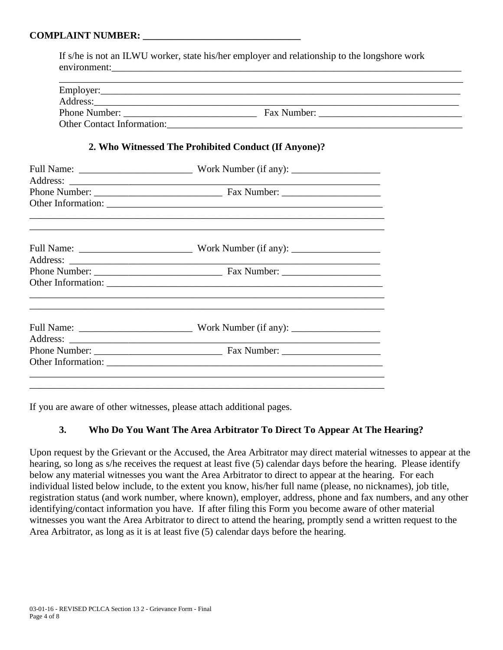If s/he is not an ILWU worker, state his/her employer and relationship to the longshore work environment:

| Employer:                         |             |  |
|-----------------------------------|-------------|--|
| Address:                          |             |  |
| Phone Number:                     | Fax Number: |  |
| <b>Other Contact Information:</b> |             |  |

### **2. Who Witnessed The Prohibited Conduct (If Anyone)?**

If you are aware of other witnesses, please attach additional pages.

# **3. Who Do You Want The Area Arbitrator To Direct To Appear At The Hearing?**

Upon request by the Grievant or the Accused, the Area Arbitrator may direct material witnesses to appear at the hearing, so long as s/he receives the request at least five (5) calendar days before the hearing. Please identify below any material witnesses you want the Area Arbitrator to direct to appear at the hearing. For each individual listed below include, to the extent you know, his/her full name (please, no nicknames), job title, registration status (and work number, where known), employer, address, phone and fax numbers, and any other identifying/contact information you have. If after filing this Form you become aware of other material witnesses you want the Area Arbitrator to direct to attend the hearing, promptly send a written request to the Area Arbitrator, as long as it is at least five (5) calendar days before the hearing.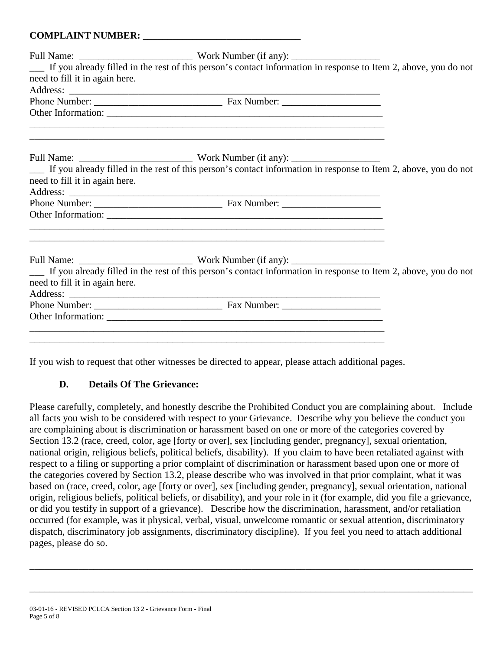|                                | If you already filled in the rest of this person's contact information in response to Item 2, above, you do not |  |
|--------------------------------|-----------------------------------------------------------------------------------------------------------------|--|
| need to fill it in again here. |                                                                                                                 |  |
|                                |                                                                                                                 |  |
|                                |                                                                                                                 |  |
|                                | ,我们也不能在这里的时候,我们也不能在这里的时候,我们也不能会在这里的时候,我们也不能会在这里的时候,我们也不能会在这里的时候,我们也不能会在这里的时候,我们也不                               |  |
|                                |                                                                                                                 |  |
|                                |                                                                                                                 |  |
|                                | If you already filled in the rest of this person's contact information in response to Item 2, above, you do not |  |
| need to fill it in again here. |                                                                                                                 |  |
|                                |                                                                                                                 |  |
|                                |                                                                                                                 |  |
|                                |                                                                                                                 |  |
|                                |                                                                                                                 |  |
|                                | If you already filled in the rest of this person's contact information in response to Item 2, above, you do not |  |
| need to fill it in again here. |                                                                                                                 |  |
|                                |                                                                                                                 |  |
|                                |                                                                                                                 |  |
|                                |                                                                                                                 |  |
|                                |                                                                                                                 |  |
|                                |                                                                                                                 |  |

If you wish to request that other witnesses be directed to appear, please attach additional pages.

# **D. Details Of The Grievance:**

Please carefully, completely, and honestly describe the Prohibited Conduct you are complaining about. Include all facts you wish to be considered with respect to your Grievance. Describe why you believe the conduct you are complaining about is discrimination or harassment based on one or more of the categories covered by Section 13.2 (race, creed, color, age [forty or over], sex [including gender, pregnancy], sexual orientation, national origin, religious beliefs, political beliefs, disability). If you claim to have been retaliated against with respect to a filing or supporting a prior complaint of discrimination or harassment based upon one or more of the categories covered by Section 13.2, please describe who was involved in that prior complaint, what it was based on (race, creed, color, age [forty or over], sex [including gender, pregnancy], sexual orientation, national origin, religious beliefs, political beliefs, or disability), and your role in it (for example, did you file a grievance, or did you testify in support of a grievance). Describe how the discrimination, harassment, and/or retaliation occurred (for example, was it physical, verbal, visual, unwelcome romantic or sexual attention, discriminatory dispatch, discriminatory job assignments, discriminatory discipline). If you feel you need to attach additional pages, please do so.

\_\_\_\_\_\_\_\_\_\_\_\_\_\_\_\_\_\_\_\_\_\_\_\_\_\_\_\_\_\_\_\_\_\_\_\_\_\_\_\_\_\_\_\_\_\_\_\_\_\_\_\_\_\_\_\_\_\_\_\_\_\_\_\_\_\_\_\_\_\_\_\_\_\_\_\_\_\_\_\_\_\_\_\_\_\_\_\_\_\_

\_\_\_\_\_\_\_\_\_\_\_\_\_\_\_\_\_\_\_\_\_\_\_\_\_\_\_\_\_\_\_\_\_\_\_\_\_\_\_\_\_\_\_\_\_\_\_\_\_\_\_\_\_\_\_\_\_\_\_\_\_\_\_\_\_\_\_\_\_\_\_\_\_\_\_\_\_\_\_\_\_\_\_\_\_\_\_\_\_\_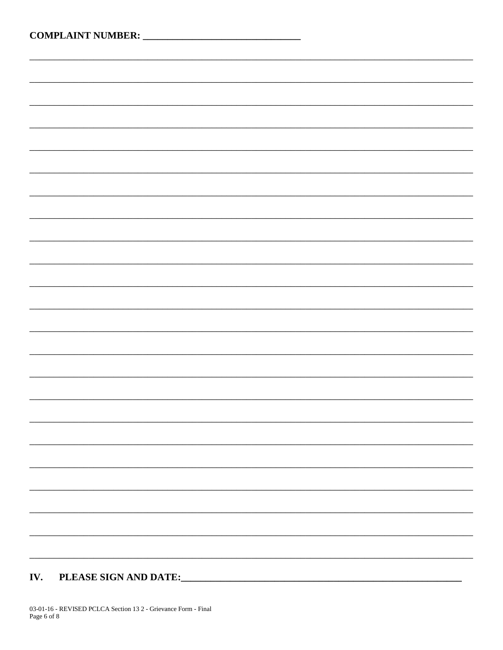PLEASE SIGN AND DATE: IV.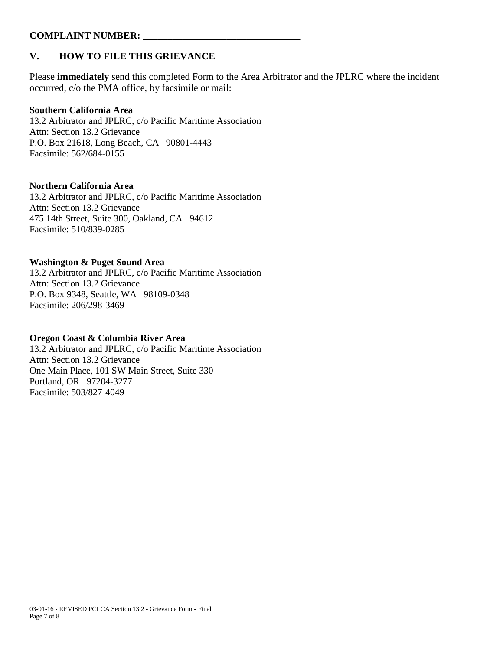# **V. HOW TO FILE THIS GRIEVANCE**

Please **immediately** send this completed Form to the Area Arbitrator and the JPLRC where the incident occurred, c/o the PMA office, by facsimile or mail:

#### **Southern California Area**

13.2 Arbitrator and JPLRC, c/o Pacific Maritime Association Attn: Section 13.2 Grievance P.O. Box 21618, Long Beach, CA 90801-4443 Facsimile: 562/684-0155

### **Northern California Area**

13.2 Arbitrator and JPLRC, c/o Pacific Maritime Association Attn: Section 13.2 Grievance 475 14th Street, Suite 300, Oakland, CA 94612 Facsimile: 510/839-0285

#### **Washington & Puget Sound Area**

13.2 Arbitrator and JPLRC, c/o Pacific Maritime Association Attn: Section 13.2 Grievance P.O. Box 9348, Seattle, WA 98109-0348 Facsimile: 206/298-3469

### **Oregon Coast & Columbia River Area**

13.2 Arbitrator and JPLRC, c/o Pacific Maritime Association Attn: Section 13.2 Grievance One Main Place, 101 SW Main Street, Suite 330 Portland, OR 97204-3277 Facsimile: 503/827-4049